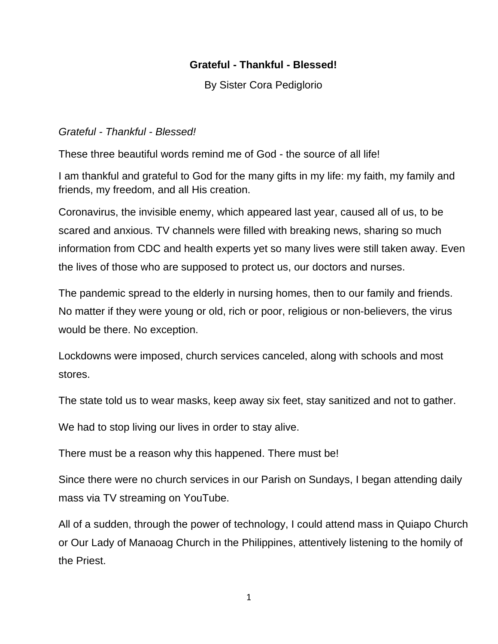## **Grateful - Thankful - Blessed!**

By Sister Cora Pediglorio

## *Grateful - Thankful - Blessed!*

These three beautiful words remind me of God - the source of all life!

I am thankful and grateful to God for the many gifts in my life: my faith, my family and friends, my freedom, and all His creation.

Coronavirus, the invisible enemy, which appeared last year, caused all of us, to be scared and anxious. TV channels were filled with breaking news, sharing so much information from CDC and health experts yet so many lives were still taken away. Even the lives of those who are supposed to protect us, our doctors and nurses.

The pandemic spread to the elderly in nursing homes, then to our family and friends. No matter if they were young or old, rich or poor, religious or non-believers, the virus would be there. No exception.

Lockdowns were imposed, church services canceled, along with schools and most stores.

The state told us to wear masks, keep away six feet, stay sanitized and not to gather.

We had to stop living our lives in order to stay alive.

There must be a reason why this happened. There must be!

Since there were no church services in our Parish on Sundays, I began attending daily mass via TV streaming on YouTube.

All of a sudden, through the power of technology, I could attend mass in Quiapo Church or Our Lady of Manaoag Church in the Philippines, attentively listening to the homily of the Priest.

1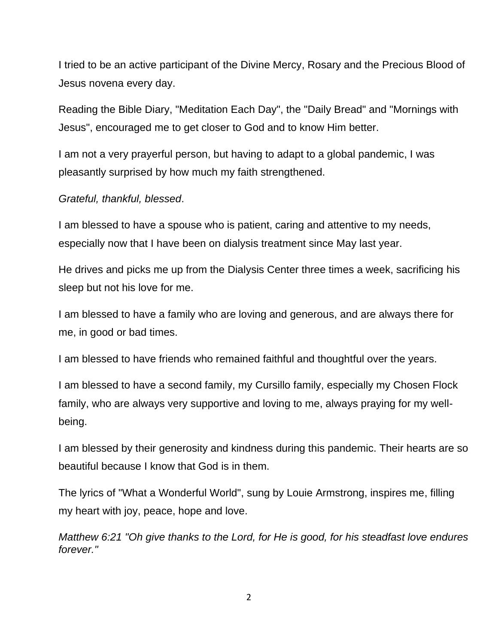I tried to be an active participant of the Divine Mercy, Rosary and the Precious Blood of Jesus novena every day.

Reading the Bible Diary, "Meditation Each Day", the "Daily Bread" and "Mornings with Jesus", encouraged me to get closer to God and to know Him better.

I am not a very prayerful person, but having to adapt to a global pandemic, I was pleasantly surprised by how much my faith strengthened.

*Grateful, thankful, blessed*.

I am blessed to have a spouse who is patient, caring and attentive to my needs, especially now that I have been on dialysis treatment since May last year.

He drives and picks me up from the Dialysis Center three times a week, sacrificing his sleep but not his love for me.

I am blessed to have a family who are loving and generous, and are always there for me, in good or bad times.

I am blessed to have friends who remained faithful and thoughtful over the years.

I am blessed to have a second family, my Cursillo family, especially my Chosen Flock family, who are always very supportive and loving to me, always praying for my wellbeing.

I am blessed by their generosity and kindness during this pandemic. Their hearts are so beautiful because I know that God is in them.

The lyrics of "What a Wonderful World", sung by Louie Armstrong, inspires me, filling my heart with joy, peace, hope and love.

*Matthew 6:21 "Oh give thanks to the Lord, for He is good, for his steadfast love endures forever."*

 $\overline{\mathcal{L}}$